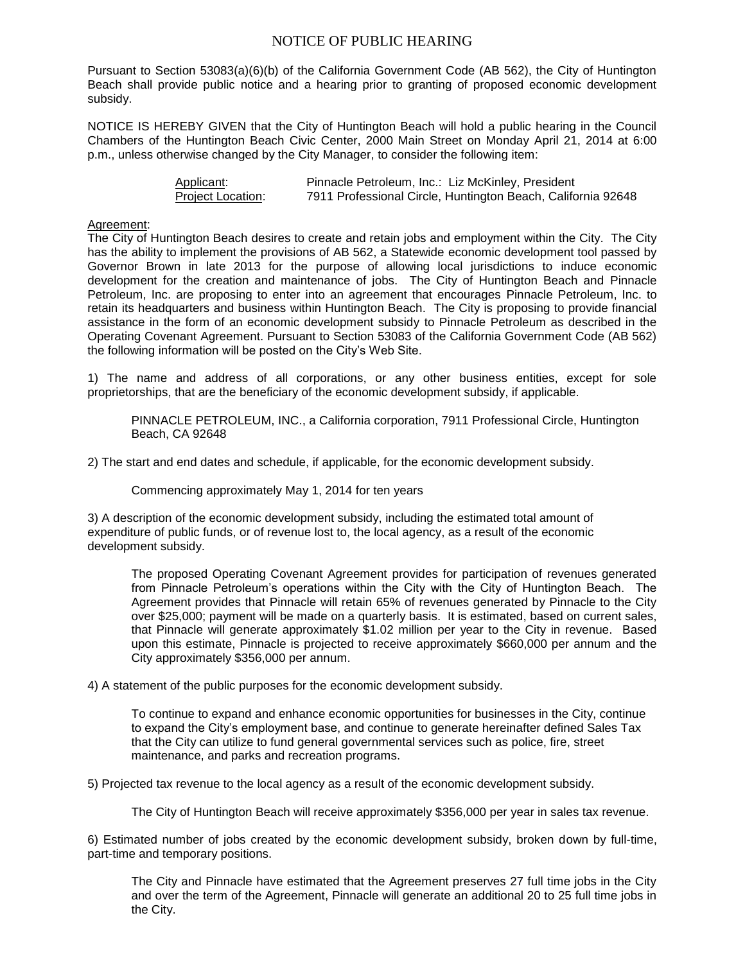## NOTICE OF PUBLIC HEARING

Pursuant to Section 53083(a)(6)(b) of the California Government Code (AB 562), the City of Huntington Beach shall provide public notice and a hearing prior to granting of proposed economic development subsidy.

NOTICE IS HEREBY GIVEN that the City of Huntington Beach will hold a public hearing in the Council Chambers of the Huntington Beach Civic Center, 2000 Main Street on Monday April 21, 2014 at 6:00 p.m., unless otherwise changed by the City Manager, to consider the following item:

| Applicant:        | Pinnacle Petroleum, Inc.: Liz McKinley, President            |
|-------------------|--------------------------------------------------------------|
| Project Location: | 7911 Professional Circle, Huntington Beach, California 92648 |

## Agreement:

The City of Huntington Beach desires to create and retain jobs and employment within the City. The City has the ability to implement the provisions of AB 562, a Statewide economic development tool passed by Governor Brown in late 2013 for the purpose of allowing local jurisdictions to induce economic development for the creation and maintenance of jobs. The City of Huntington Beach and Pinnacle Petroleum, Inc. are proposing to enter into an agreement that encourages Pinnacle Petroleum, Inc. to retain its headquarters and business within Huntington Beach. The City is proposing to provide financial assistance in the form of an economic development subsidy to Pinnacle Petroleum as described in the Operating Covenant Agreement. Pursuant to Section 53083 of the California Government Code (AB 562) the following information will be posted on the City's Web Site.

1) The name and address of all corporations, or any other business entities, except for sole proprietorships, that are the beneficiary of the economic development subsidy, if applicable.

PINNACLE PETROLEUM, INC., a California corporation, 7911 Professional Circle, Huntington Beach, CA 92648

2) The start and end dates and schedule, if applicable, for the economic development subsidy.

Commencing approximately May 1, 2014 for ten years

3) A description of the economic development subsidy, including the estimated total amount of expenditure of public funds, or of revenue lost to, the local agency, as a result of the economic development subsidy.

The proposed Operating Covenant Agreement provides for participation of revenues generated from Pinnacle Petroleum's operations within the City with the City of Huntington Beach. The Agreement provides that Pinnacle will retain 65% of revenues generated by Pinnacle to the City over \$25,000; payment will be made on a quarterly basis. It is estimated, based on current sales, that Pinnacle will generate approximately \$1.02 million per year to the City in revenue. Based upon this estimate, Pinnacle is projected to receive approximately \$660,000 per annum and the City approximately \$356,000 per annum.

4) A statement of the public purposes for the economic development subsidy.

To continue to expand and enhance economic opportunities for businesses in the City, continue to expand the City's employment base, and continue to generate hereinafter defined Sales Tax that the City can utilize to fund general governmental services such as police, fire, street maintenance, and parks and recreation programs.

5) Projected tax revenue to the local agency as a result of the economic development subsidy.

The City of Huntington Beach will receive approximately \$356,000 per year in sales tax revenue.

6) Estimated number of jobs created by the economic development subsidy, broken down by full-time, part-time and temporary positions.

The City and Pinnacle have estimated that the Agreement preserves 27 full time jobs in the City and over the term of the Agreement, Pinnacle will generate an additional 20 to 25 full time jobs in the City.